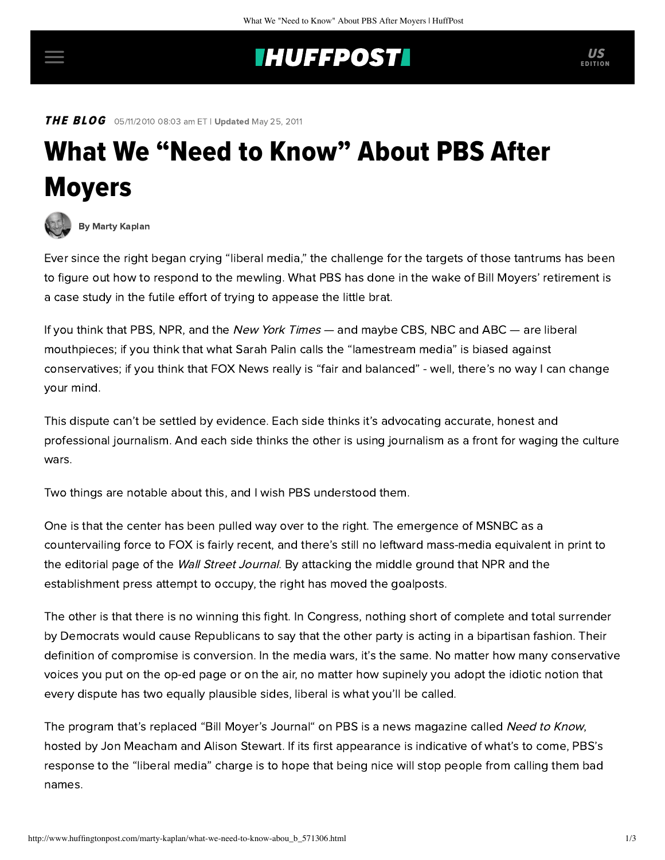## **INUFFPOST**

**THE BLOG** 05/11/2010 08:03 am ET | Updated May 25, 2011

## What We "Need to Know" About PBS After Moyers



[By Marty Kaplan](http://www.huffingtonpost.com/author/marty-kaplan)

Ever since the right began crying "liberal media," the challenge for the targets of those tantrums has been to figure out how to respond to the mewling. What PBS has done in the wake of Bill Moyers' retirement is a case study in the futile effort of trying to appease the little brat.

If you think that PBS, NPR, and the New York Times — and maybe CBS, NBC and ABC — are liberal mouthpieces; if you think that what Sarah Palin calls the "lamestream media" is biased against conservatives; if you think that FOX News really is "fair and balanced" - well, there's no way I can change your mind.

This dispute can't be settled by evidence. Each side thinks it's advocating accurate, honest and professional journalism. And each side thinks the other is using journalism as a front for waging the culture wars.

Two things are notable about this, and I wish PBS understood them.

One is that the center has been pulled way over to the right. The emergence of MSNBC as a countervailing force to FOX is fairly recent, and there's still no leftward mass-media equivalent in print to the editorial page of the *Wall Street Journal*. By attacking the middle ground that NPR and the establishment press attempt to occupy, the right has moved the goalposts.

The other is that there is no winning this fight. In Congress, nothing short of complete and total surrender by Democrats would cause Republicans to say that the other party is acting in a bipartisan fashion. Their definition of compromise is conversion. In the media wars, it's the same. No matter how many conservative voices you put on the op-ed page or on the air, no matter how supinely you adopt the idiotic notion that every dispute has two equally plausible sides, liberal is what you'll be called.

The program that's replaced ["Bill Moyer's Journal](http://www.pbs.org/moyers/journal/index-flash.html)" on PBS is a news magazine called Need to [Know](http://www.pbs.org/wnet/need-to-know/?gclid=CND24MLqxaECFRRUgwodW1cI-w), hosted by Jon Meacham and Alison Stewart. If its first appearance is indicative of what's to come, PBS's response to the "liberal media" charge is to hope that being nice will stop people from calling them bad names.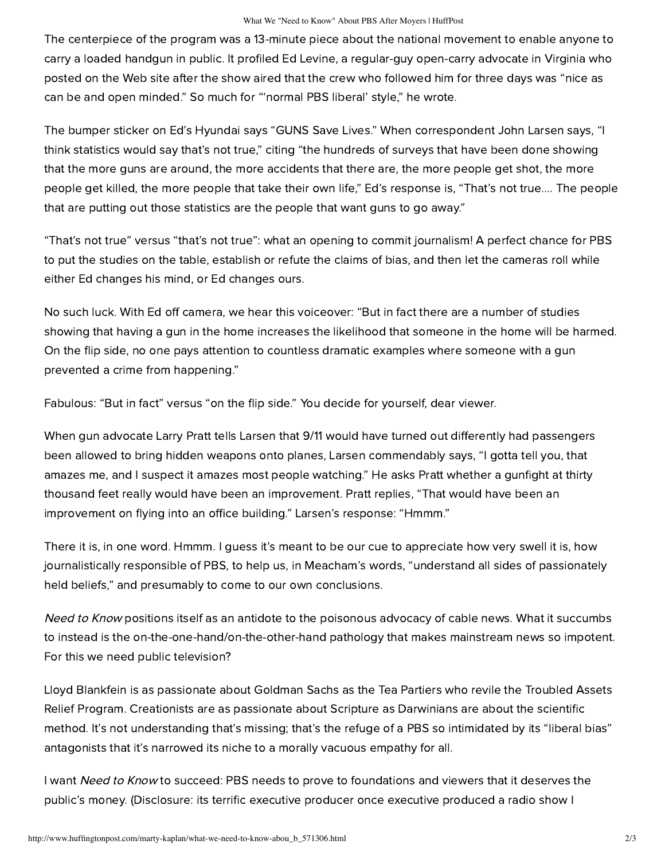## What We "Need to Know" About PBS After Moyers | HuffPost

The centerpiece of the program was a 13-minute piece about the national movement to enable anyone to carry a loaded handgun in public. It profiled Ed Levine, a regular-guy open-carry advocate in Virginia who posted on the Web site after the show aired that the crew who followed him for three days was "nice as can be and open minded." So much for "'normal PBS liberal' style," he wrote.

The bumper sticker on Ed's Hyundai says "GUNS Save Lives." When correspondent John Larsen says, "I think statistics would say that's not true," citing "the hundreds of surveys that have been done showing that the more guns are around, the more accidents that there are, the more people get shot, the more people get killed, the more people that take their own life," Ed's response is, "That's not true.... The people that are putting out those statistics are the people that want guns to go away."

"That's not true" versus "that's not true": what an opening to commit journalism! A perfect chance for PBS to put the studies on the table, establish or refute the claims of bias, and then let the cameras roll while either Ed changes his mind, or Ed changes ours.

No such luck. With Ed off camera, we hear this voiceover: "But in fact there are a number of studies showing that having a gun in the home increases the likelihood that someone in the home will be harmed. On the flip side, no one pays attention to countless dramatic examples where someone with a gun prevented a crime from happening."

Fabulous: "But in fact" versus "on the flip side." You decide for yourself, dear viewer.

When gun advocate Larry Pratt tells Larsen that 9/11 would have turned out differently had passengers been allowed to bring hidden weapons onto planes, Larsen commendably says, "I gotta tell you, that amazes me, and I suspect it amazes most people watching." He asks Pratt whether a gunfight at thirty thousand feet really would have been an improvement. Pratt replies, "That would have been an improvement on flying into an office building." Larsen's response: "Hmmm."

There it is, in one word. Hmmm. I guess it's meant to be our cue to appreciate how very swell it is, how journalistically responsible of PBS, to help us, in Meacham's words, "understand all sides of passionately held beliefs," and presumably to come to our own conclusions.

Need to Know positions itself as an antidote to the poisonous advocacy of cable news. What it succumbs to instead is the on-the-one-hand/on-the-other-hand pathology that makes mainstream news so impotent. For this we need public television?

Lloyd Blankfein is as passionate about Goldman Sachs as the Tea Partiers who revile the Troubled Assets Relief Program. Creationists are as passionate about Scripture as Darwinians are about the scientific method. It's not understanding that's missing; that's the refuge of a PBS so intimidated by its "liberal bias" antagonists that it's narrowed its niche to a morally vacuous empathy for all.

I want Need to Know to succeed: PBS needs to prove to foundations and viewers that it deserves the public's money. (Disclosure: its terrific executive producer once executive produced a radio show I